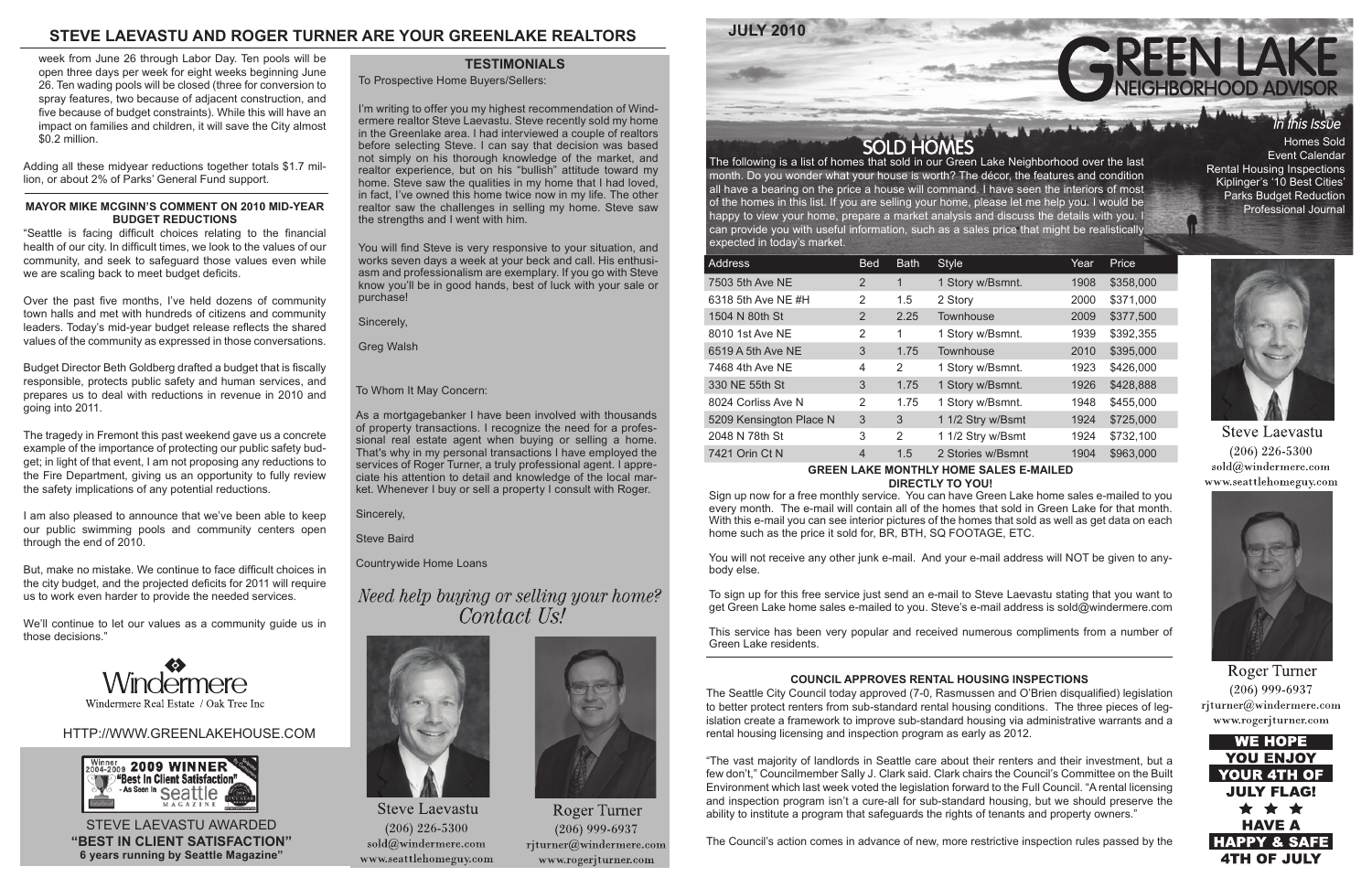### HTTP://WWW.GREENLAKEHOUSE.COM



month. Do you wonder what your house is worth? The décor, the features and condition all have a bearing on the price a house will command. I have seen the interiors of most of the homes in this list. If you are selling your home, please let me help you. I would be happy to view your home, prepare a market analysis and discuss the details with you. I can provide you with useful information, such as a sales price that might be realistically expected in today's market.

| <b>Address</b>          | <b>Bed</b> | <b>Bath</b>  | <b>Style</b>      | Year | Price     |
|-------------------------|------------|--------------|-------------------|------|-----------|
| 7503 5th Ave NE         | 2          | $\mathbf{1}$ | 1 Story w/Bsmnt.  | 1908 | \$358,000 |
| 6318 5th Ave NE #H      | 2          | 1.5          | 2 Story           | 2000 | \$371,000 |
| 1504 N 80th St          | 2          | 2.25         | Townhouse         | 2009 | \$377,500 |
| 8010 1st Ave NE         | 2          | 1            | 1 Story w/Bsmnt.  | 1939 | \$392,355 |
| 6519 A 5th Ave NE       | 3          | 1.75         | Townhouse         | 2010 | \$395,000 |
| 7468 4th Ave NE         | 4          | 2            | 1 Story w/Bsmnt.  | 1923 | \$426,000 |
| 330 NE 55th St          | 3          | 1.75         | 1 Story w/Bsmnt.  | 1926 | \$428,888 |
| 8024 Corliss Ave N      | 2          | 1.75         | 1 Story w/Bsmnt.  | 1948 | \$455,000 |
| 5209 Kensington Place N | 3          | 3            | 1 1/2 Stry w/Bsmt | 1924 | \$725,000 |
| 2048 N 78th St          | 3          | 2            | 1 1/2 Stry w/Bsmt | 1924 | \$732,100 |
| 7421 Orin Ct N          | 4          | 1.5          | 2 Stories w/Bsmnt | 1904 | \$963,000 |

#### **GREEN LAKE MONTHLY HOME SALES E-MAILED DIRECTLY TO YOU!**

Sign up now for a free monthly service. You can have Green Lake home sales e-mailed to you every month. The e-mail will contain all of the homes that sold in Green Lake for that month. With this e-mail you can see interior pictures of the homes that sold as well as get data on each home such as the price it sold for, BR, BTH, SQ FOOTAGE, ETC.

You will not receive any other junk e-mail. And your e-mail address will NOT be given to anybody else.



To sign up for this free service just send an e-mail to Steve Laevastu stating that you want to get Green Lake home sales e-mailed to you. Steve's e-mail address is sold@windermere.com

This service has been very popular and received numerous compliments from a number of Green Lake residents.

# **STEVE LAEVASTU AND ROGER TURNER ARE YOUR GREENLAKE REALTORS**

STEVE LAEVASTU AWARDED **"BEST IN CLIENT SATISFACTION" 6 years running by Seattle Magazine"**

To Prospective Home Buyers/Sellers:

I'm writing to offer you my highest recommendation of Windermere realtor Steve Laevastu. Steve recently sold my home in the Greenlake area. I had interviewed a couple of realtors before selecting Steve. I can say that decision was based not simply on his thorough knowledge of the market, and realtor experience, but on his "bullish" attitude toward my home. Steve saw the qualities in my home that I had loved, in fact, I've owned this home twice now in my life. The other realtor saw the challenges in selling my home. Steve saw the strengths and I went with him.

You will find Steve is very responsive to your situation, and works seven days a week at your beck and call. His enthusiasm and professionalism are exemplary. If you go with Steve know you'll be in good hands, best of luck with your sale or purchase!

Sincerely,

Greg Walsh

#### **TESTIMONIALS**

#### To Whom It May Concern:

As a mortgagebanker I have been involved with thousands of property transactions. I recognize the need for a professional real estate agent when buying or selling a home. That's why in my personal transactions I have employed the services of Roger Turner, a truly professional agent. I appreciate his attention to detail and knowledge of the local market. Whenever I buy or sell a property I consult with Roger.

Sincerely,

Steve Baird

Countrywide Home Loans

# Need help buying or selling your home? Contact Us!



**Steve Laevastu**  $(206)$  226-5300  $sold@$ windermere.com www.seattlehomeguy.com



Roger Turner  $(206)$  999-6937 rjturner@windermere.com www.rogerjturner.com

Event Calendar Rental Housing Inspections Kiplinger's '10 Best Cities' Parks Budget Reduction Professional Journal



**Steve Laevastu**  $(206)$  226-5300 sold@windermere.com www.seattlehomeguy.com



Roger Turner  $(206)$  999-6937 rjturner@windermere.com www.rogerjturner.com



#### **COUNCIL APPROVES RENTAL HOUSING INSPECTIONS**

The Seattle City Council today approved (7-0, Rasmussen and O'Brien disqualified) legislation to better protect renters from sub-standard rental housing conditions. The three pieces of legislation create a framework to improve sub-standard housing via administrative warrants and a rental housing licensing and inspection program as early as 2012.

"The vast majority of landlords in Seattle care about their renters and their investment, but a few don't," Councilmember Sally J. Clark said. Clark chairs the Council's Committee on the Built Environment which last week voted the legislation forward to the Full Council. "A rental licensing and inspection program isn't a cure-all for sub-standard housing, but we should preserve the ability to institute a program that safeguards the rights of tenants and property owners."

The Council's action comes in advance of new, more restrictive inspection rules passed by the

week from June 26 through Labor Day. Ten pools will be open three days per week for eight weeks beginning June 26. Ten wading pools will be closed (three for conversion to spray features, two because of adjacent construction, and five because of budget constraints). While this will have an impact on families and children, it will save the City almost \$0.2 million.

Adding all these midyear reductions together totals \$1.7 million, or about 2% of Parks' General Fund support.

#### **MAYOR MIKE MCGINN'S COMMENT ON 2010 MID-YEAR BUDGET REDUCTIONS**

"Seattle is facing difficult choices relating to the financial health of our city. In difficult times, we look to the values of our community, and seek to safeguard those values even while we are scaling back to meet budget deficits.

Over the past five months, I've held dozens of community town halls and met with hundreds of citizens and community leaders. Today's mid-year budget release reflects the shared values of the community as expressed in those conversations.

Budget Director Beth Goldberg drafted a budget that is fiscally responsible, protects public safety and human services, and prepares us to deal with reductions in revenue in 2010 and going into 2011.

The tragedy in Fremont this past weekend gave us a concrete example of the importance of protecting our public safety budget; in light of that event, I am not proposing any reductions to the Fire Department, giving us an opportunity to fully review the safety implications of any potential reductions.

I am also pleased to announce that we've been able to keep our public swimming pools and community centers open through the end of 2010.

But, make no mistake. We continue to face difficult choices in the city budget, and the projected deficits for 2011 will require us to work even harder to provide the needed services.

We'll continue to let our values as a community guide us in those decisions."